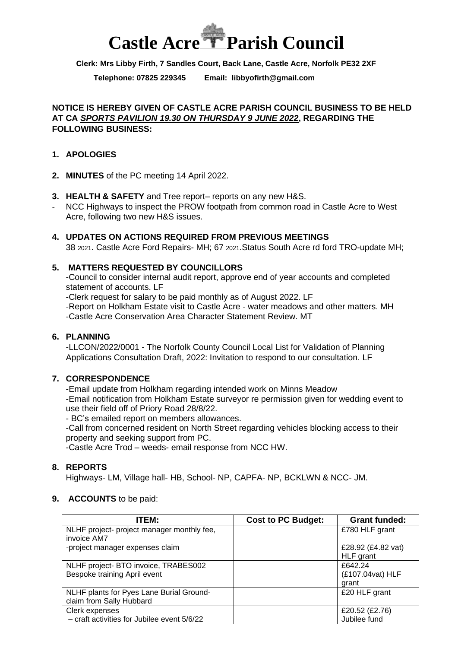# **Castle Acre Parish Council**

**Clerk: Mrs Libby Firth, 7 Sandles Court, Back Lane, Castle Acre, Norfolk PE32 2XF**

**Telephone: 07825 229345 Email: [libbyofirth@gmail.com](mailto:libbyofirth@gmail.com)**

#### **NOTICE IS HEREBY GIVEN OF CASTLE ACRE PARISH COUNCIL BUSINESS TO BE HELD AT CA** *SPORTS PAVILION 19.30 ON THURSDAY 9 JUNE 2022***, REGARDING THE FOLLOWING BUSINESS:**

#### **1. APOLOGIES**

- **2. MINUTES** of the PC meeting 14 April 2022.
- **3. HEALTH & SAFETY** and Tree report– reports on any new H&S.
- NCC Highways to inspect the PROW footpath from common road in Castle Acre to West Acre, following two new H&S issues.
- **4. UPDATES ON ACTIONS REQUIRED FROM PREVIOUS MEETINGS** 38 2021. Castle Acre Ford Repairs- MH; 67 2021.Status South Acre rd ford TRO-update MH;

# **5. MATTERS REQUESTED BY COUNCILLORS**

-Council to consider internal audit report, approve end of year accounts and completed statement of accounts. LF

-Clerk request for salary to be paid monthly as of August 2022. LF

-Report on Holkham Estate visit to Castle Acre - water meadows and other matters. MH -Castle Acre Conservation Area Character Statement Review. MT

## **6. PLANNING**

-LLCON/2022/0001 - The Norfolk County Council Local List for Validation of Planning Applications Consultation Draft, 2022: Invitation to respond to our consultation. LF

## **7. CORRESPONDENCE**

-Email update from Holkham regarding intended work on Minns Meadow -Email notification from Holkham Estate surveyor re permission given for wedding event to use their field off of Priory Road 28/8/22.

- BC's emailed report on members allowances.

-Call from concerned resident on North Street regarding vehicles blocking access to their property and seeking support from PC.

-Castle Acre Trod – weeds- email response from NCC HW.

## **8. REPORTS**

Highways- LM, Village hall- HB, School- NP, CAPFA- NP, BCKLWN & NCC- JM.

#### **9. ACCOUNTS** to be paid:

| ITEM:                                       | <b>Cost to PC Budget:</b> | <b>Grant funded:</b> |
|---------------------------------------------|---------------------------|----------------------|
| NLHF project- project manager monthly fee,  |                           | £780 HLF grant       |
| invoice AM7                                 |                           |                      |
| -project manager expenses claim             |                           | £28.92 (£4.82 vat)   |
|                                             |                           | HLF grant            |
| NLHF project- BTO invoice, TRABES002        |                           | £642.24              |
| Bespoke training April event                |                           | (£107.04vat) HLF     |
|                                             |                           | grant                |
| NLHF plants for Pyes Lane Burial Ground-    |                           | £20 HLF grant        |
| claim from Sally Hubbard                    |                           |                      |
| Clerk expenses                              |                           | £20.52 (£2.76)       |
| - craft activities for Jubilee event 5/6/22 |                           | Jubilee fund         |